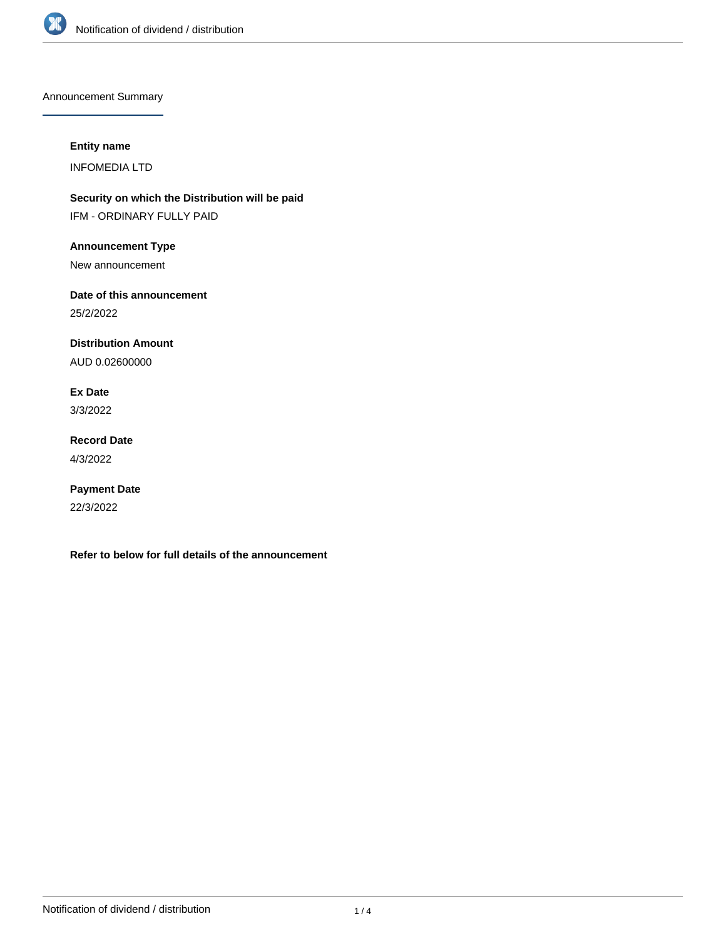

Announcement Summary

## **Entity name**

INFOMEDIA LTD

**Security on which the Distribution will be paid** IFM - ORDINARY FULLY PAID

**Announcement Type**

New announcement

**Date of this announcement**

25/2/2022

**Distribution Amount**

AUD 0.02600000

**Ex Date** 3/3/2022

**Record Date**

4/3/2022

**Payment Date** 22/3/2022

**Refer to below for full details of the announcement**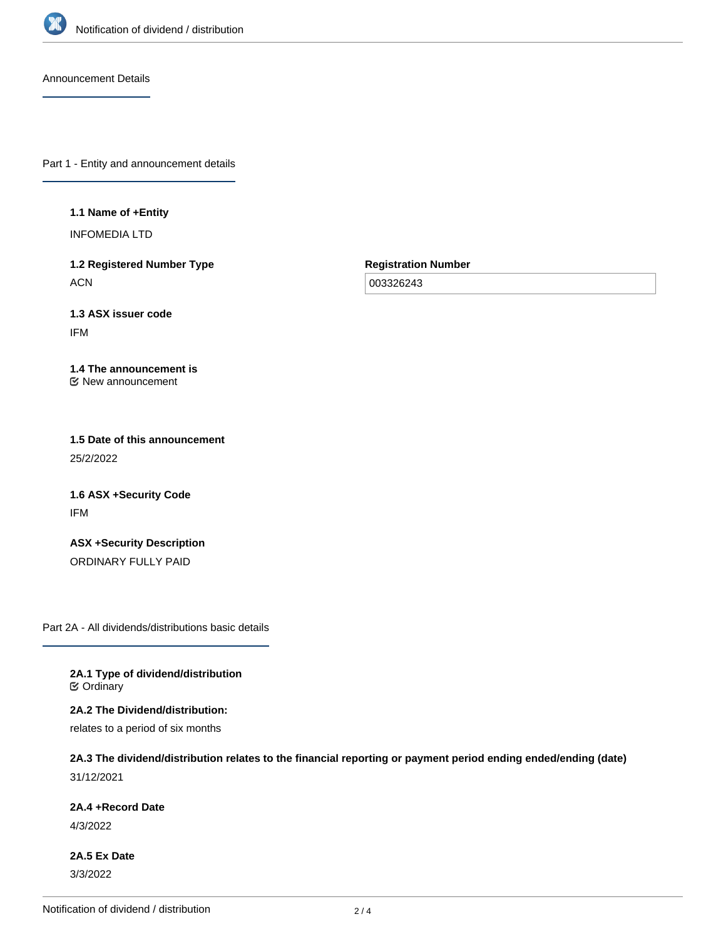

Announcement Details

Part 1 - Entity and announcement details

**1.1 Name of +Entity**

INFOMEDIA LTD

**1.2 Registered Number Type ACN** 

**Registration Number**

003326243

**1.3 ASX issuer code** IFM

**1.4 The announcement is** New announcement

**1.5 Date of this announcement** 25/2/2022

**1.6 ASX +Security Code** IFM

**ASX +Security Description** ORDINARY FULLY PAID

Part 2A - All dividends/distributions basic details

**2A.1 Type of dividend/distribution C** Ordinary

**2A.2 The Dividend/distribution:**

relates to a period of six months

**2A.3 The dividend/distribution relates to the financial reporting or payment period ending ended/ending (date)** 31/12/2021

**2A.4 +Record Date**

4/3/2022

**2A.5 Ex Date** 3/3/2022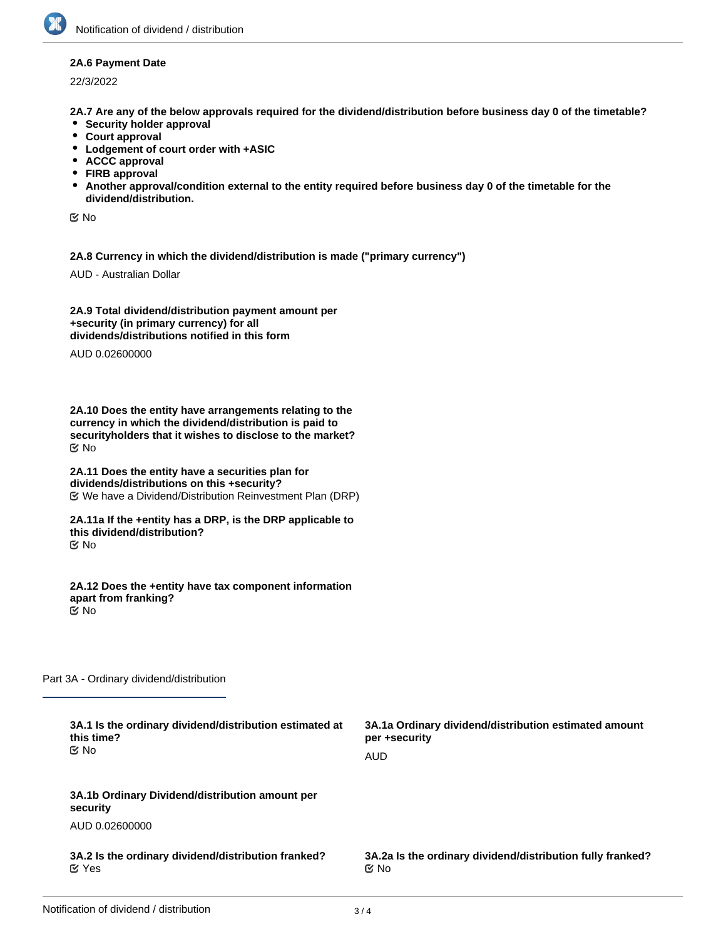## **2A.6 Payment Date**

22/3/2022

**2A.7 Are any of the below approvals required for the dividend/distribution before business day 0 of the timetable?**

- **•** Security holder approval
- **Court approval**
- **Lodgement of court order with +ASIC**
- **ACCC approval**
- **FIRB approval**
- **Another approval/condition external to the entity required before business day 0 of the timetable for the dividend/distribution.**

No

**2A.8 Currency in which the dividend/distribution is made ("primary currency")**

AUD - Australian Dollar

**2A.9 Total dividend/distribution payment amount per +security (in primary currency) for all dividends/distributions notified in this form**

AUD 0.02600000

**2A.10 Does the entity have arrangements relating to the currency in which the dividend/distribution is paid to securityholders that it wishes to disclose to the market?** No

**2A.11 Does the entity have a securities plan for dividends/distributions on this +security?** We have a Dividend/Distribution Reinvestment Plan (DRP)

**2A.11a If the +entity has a DRP, is the DRP applicable to this dividend/distribution?** No

**2A.12 Does the +entity have tax component information apart from franking?** No

Part 3A - Ordinary dividend/distribution

| 3A.1 Is the ordinary dividend/distribution estimated at<br>this time?<br>় No | 3A.1a Ordinary dividend/distribution estimated amount<br>per +security<br><b>AUD</b> |
|-------------------------------------------------------------------------------|--------------------------------------------------------------------------------------|
| 3A.1b Ordinary Dividend/distribution amount per<br>security                   |                                                                                      |
| AUD 0.02600000                                                                |                                                                                      |
| 3A.2 Is the ordinary dividend/distribution franked?<br>$\mathfrak C$ Yes      | 3A.2a Is the ordinary dividend/distribution fully franked?<br>$\mathfrak{C}$ No      |